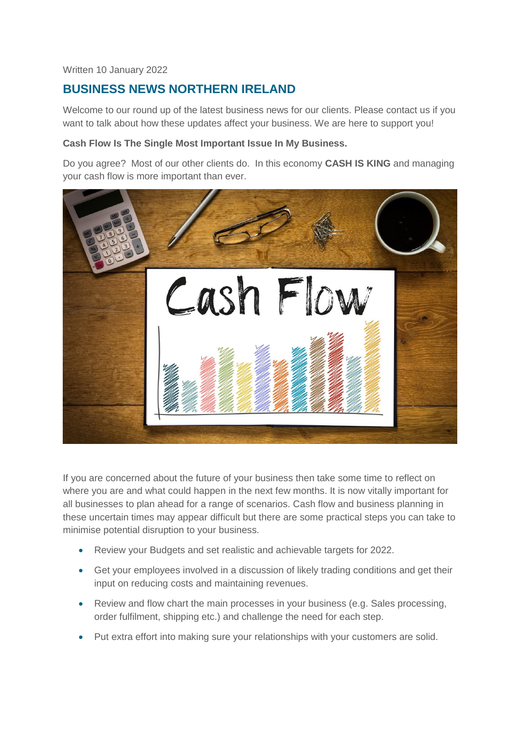Written 10 January 2022

# **BUSINESS NEWS NORTHERN IRELAND**

Welcome to our round up of the latest business news for our clients. Please contact us if you want to talk about how these updates affect your business. We are here to support you!

## **Cash Flow Is The Single Most Important Issue In My Business.**

Do you agree? Most of our other clients do. In this economy **CASH IS KING** and managing your cash flow is more important than ever.



If you are concerned about the future of your business then take some time to reflect on where you are and what could happen in the next few months. It is now vitally important for all businesses to plan ahead for a range of scenarios. Cash flow and business planning in these uncertain times may appear difficult but there are some practical steps you can take to minimise potential disruption to your business.

- Review your Budgets and set realistic and achievable targets for 2022.
- Get your employees involved in a discussion of likely trading conditions and get their input on reducing costs and maintaining revenues.
- Review and flow chart the main processes in your business (e.g. Sales processing, order fulfilment, shipping etc.) and challenge the need for each step.
- Put extra effort into making sure your relationships with your customers are solid.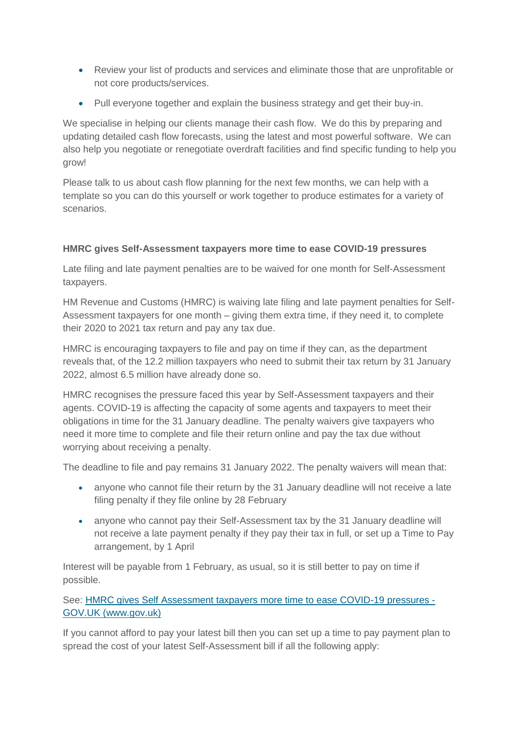- Review your list of products and services and eliminate those that are unprofitable or not core products/services.
- Pull everyone together and explain the business strategy and get their buy-in.

We specialise in helping our clients manage their cash flow. We do this by preparing and updating detailed cash flow forecasts, using the latest and most powerful software. We can also help you negotiate or renegotiate overdraft facilities and find specific funding to help you grow!

Please talk to us about cash flow planning for the next few months, we can help with a template so you can do this yourself or work together to produce estimates for a variety of scenarios.

# **HMRC gives Self-Assessment taxpayers more time to ease COVID-19 pressures**

Late filing and late payment penalties are to be waived for one month for Self-Assessment taxpayers.

HM Revenue and Customs (HMRC) is waiving late filing and late payment penalties for Self-Assessment taxpayers for one month – giving them extra time, if they need it, to complete their 2020 to 2021 tax return and pay any tax due.

HMRC is encouraging taxpayers to file and pay on time if they can, as the department reveals that, of the 12.2 million taxpayers who need to submit their tax return by 31 January 2022, almost 6.5 million have already done so.

HMRC recognises the pressure faced this year by Self-Assessment taxpayers and their agents. COVID-19 is affecting the capacity of some agents and taxpayers to meet their obligations in time for the 31 January deadline. The penalty waivers give taxpayers who need it more time to complete and file their return online and pay the tax due without worrying about receiving a penalty.

The deadline to file and pay remains 31 January 2022. The penalty waivers will mean that:

- anyone who cannot file their return by the 31 January deadline will not receive a late filing penalty if they file online by 28 February
- anyone who cannot pay their Self-Assessment tax by the 31 January deadline will not receive a late payment penalty if they pay their tax in full, or set up a Time to Pay arrangement, by 1 April

Interest will be payable from 1 February, as usual, so it is still better to pay on time if possible.

See: [HMRC gives Self Assessment taxpayers more time to ease COVID-19 pressures -](https://www.gov.uk/government/news/hmrc-gives-self-assessment-taxpayers-more-time-to-ease-covid-19-pressures) [GOV.UK \(www.gov.uk\)](https://www.gov.uk/government/news/hmrc-gives-self-assessment-taxpayers-more-time-to-ease-covid-19-pressures)

If you cannot afford to pay your latest bill then you can set up a time to pay payment plan to spread the cost of your latest Self-Assessment bill if all the following apply: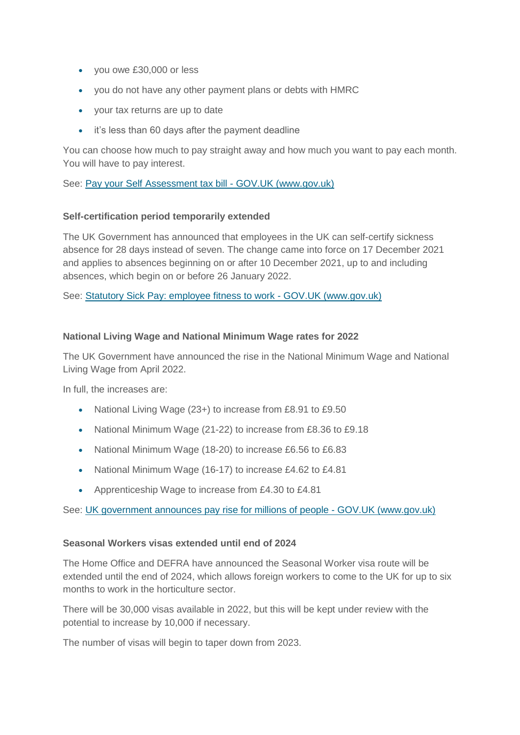- you owe £30,000 or less
- you do not have any other payment plans or debts with HMRC
- your tax returns are up to date
- it's less than 60 days after the payment deadline

You can choose how much to pay straight away and how much you want to pay each month. You will have to pay interest.

See: [Pay your Self Assessment tax bill -](https://www.gov.uk/pay-self-assessment-tax-bill) GOV.UK (www.gov.uk)

## **Self-certification period temporarily extended**

The UK Government has announced that employees in the UK can self-certify sickness absence for 28 days instead of seven. The change came into force on 17 December 2021 and applies to absences beginning on or after 10 December 2021, up to and including absences, which begin on or before 26 January 2022.

See: [Statutory Sick Pay: employee fitness to work -](https://www.gov.uk/guidance/statutory-sick-pay-employee-fitness-to-work) GOV.UK (www.gov.uk)

## **National Living Wage and National Minimum Wage rates for 2022**

The UK Government have announced the rise in the National Minimum Wage and National Living Wage from April 2022.

In full, the increases are:

- National Living Wage (23+) to increase from £8.91 to £9.50
- National Minimum Wage (21-22) to increase from £8.36 to £9.18
- National Minimum Wage (18-20) to increase £6.56 to £6.83
- National Minimum Wage (16-17) to increase £4.62 to £4.81
- Apprenticeship Wage to increase from £4.30 to £4.81

See: [UK government announces pay rise for millions of people -](https://www.gov.uk/government/news/uk-government-announces-pay-rise-for-millions-of-people) GOV.UK (www.gov.uk)

#### **Seasonal Workers visas extended until end of 2024**

The Home Office and DEFRA have announced the Seasonal Worker visa route will be extended until the end of 2024, which allows foreign workers to come to the UK for up to six months to work in the horticulture sector.

There will be 30,000 visas available in 2022, but this will be kept under review with the potential to increase by 10,000 if necessary.

The number of visas will begin to taper down from 2023.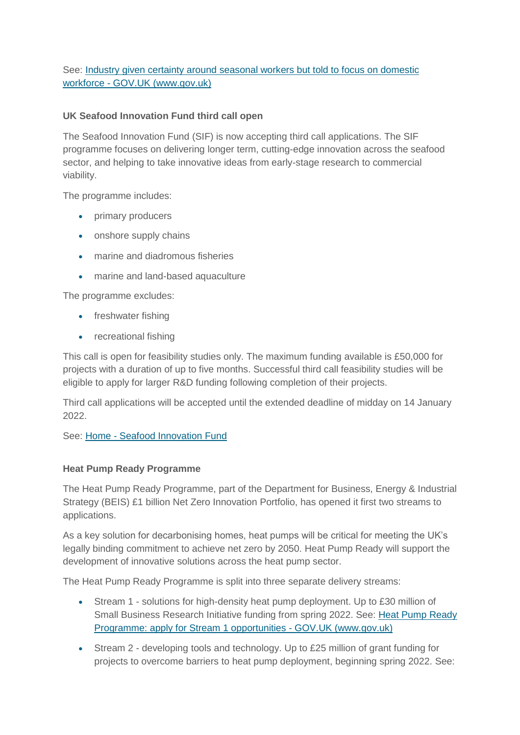See: [Industry given certainty around seasonal workers but told to focus on domestic](https://www.gov.uk/government/news/industry-given-certainty-around-seasonal-workers-but-told-to-focus-on-domestic-workforce)  workforce - [GOV.UK \(www.gov.uk\)](https://www.gov.uk/government/news/industry-given-certainty-around-seasonal-workers-but-told-to-focus-on-domestic-workforce)

# **UK Seafood Innovation Fund third call open**

The Seafood Innovation Fund (SIF) is now accepting third call applications. The SIF programme focuses on delivering longer term, cutting-edge innovation across the seafood sector, and helping to take innovative ideas from early-stage research to commercial viability.

The programme includes:

- primary producers
- onshore supply chains
- marine and diadromous fisheries
- marine and land-based aquaculture

The programme excludes:

- freshwater fishing
- recreational fishing

This call is open for feasibility studies only. The maximum funding available is £50,000 for projects with a duration of up to five months. Successful third call feasibility studies will be eligible to apply for larger R&D funding following completion of their projects.

Third call applications will be accepted until the extended deadline of midday on 14 January 2022.

See: Home - [Seafood Innovation Fund](https://www.seafoodinnovation.fund/)

#### **Heat Pump Ready Programme**

The Heat Pump Ready Programme, part of the Department for Business, Energy & Industrial Strategy (BEIS) £1 billion Net Zero Innovation Portfolio, has opened it first two streams to applications.

As a key solution for decarbonising homes, heat pumps will be critical for meeting the UK's legally binding commitment to achieve net zero by 2050. Heat Pump Ready will support the development of innovative solutions across the heat pump sector.

The Heat Pump Ready Programme is split into three separate delivery streams:

- Stream 1 solutions for high-density heat pump deployment. Up to £30 million of Small Business Research Initiative funding from spring 2022. See: Heat Pump Ready [Programme: apply for Stream 1 opportunities -](https://www.gov.uk/government/publications/heat-pump-ready-programme-apply-for-stream-1-opportunities) GOV.UK (www.gov.uk)
- Stream 2 developing tools and technology. Up to £25 million of grant funding for projects to overcome barriers to heat pump deployment, beginning spring 2022. See: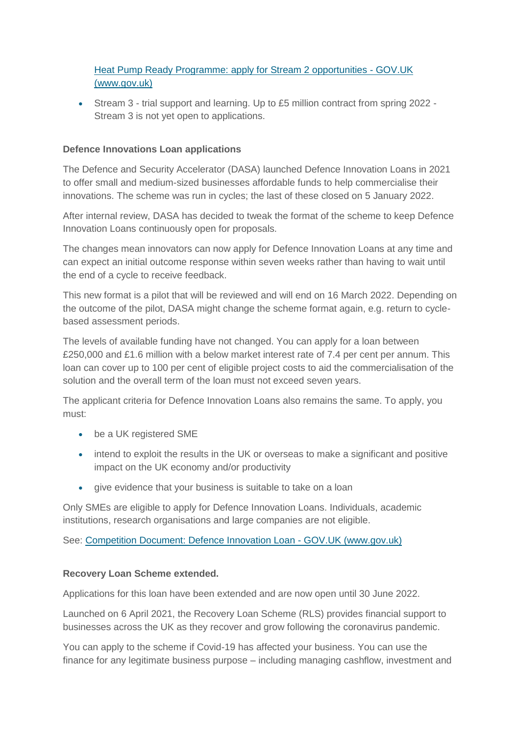[Heat Pump Ready Programme: apply for Stream 2 opportunities -](https://www.gov.uk/government/publications/heat-pump-ready-programme-apply-for-stream-2-opportunities) GOV.UK [\(www.gov.uk\)](https://www.gov.uk/government/publications/heat-pump-ready-programme-apply-for-stream-2-opportunities)

 Stream 3 - trial support and learning. Up to £5 million contract from spring 2022 - Stream 3 is not yet open to applications.

#### **Defence Innovations Loan applications**

The Defence and Security Accelerator (DASA) launched Defence Innovation Loans in 2021 to offer small and medium-sized businesses affordable funds to help commercialise their innovations. The scheme was run in cycles; the last of these closed on 5 January 2022.

After internal review, DASA has decided to tweak the format of the scheme to keep Defence Innovation Loans continuously open for proposals.

The changes mean innovators can now apply for Defence Innovation Loans at any time and can expect an initial outcome response within seven weeks rather than having to wait until the end of a cycle to receive feedback.

This new format is a pilot that will be reviewed and will end on 16 March 2022. Depending on the outcome of the pilot, DASA might change the scheme format again, e.g. return to cyclebased assessment periods.

The levels of available funding have not changed. You can apply for a loan between £250,000 and £1.6 million with a below market interest rate of 7.4 per cent per annum. This loan can cover up to 100 per cent of eligible project costs to aid the commercialisation of the solution and the overall term of the loan must not exceed seven years.

The applicant criteria for Defence Innovation Loans also remains the same. To apply, you must:

- be a UK registered SME
- intend to exploit the results in the UK or overseas to make a significant and positive impact on the UK economy and/or productivity
- give evidence that your business is suitable to take on a loan

Only SMEs are eligible to apply for Defence Innovation Loans. Individuals, academic institutions, research organisations and large companies are not eligible.

See: [Competition Document: Defence Innovation Loan -](https://www.gov.uk/government/publications/competition-defence-innovation-loans/competition-document-defence-innovation-loan) GOV.UK (www.gov.uk)

# **Recovery Loan Scheme extended.**

Applications for this loan have been extended and are now open until 30 June 2022.

Launched on 6 April 2021, the Recovery Loan Scheme (RLS) provides financial support to businesses across the UK as they recover and grow following the coronavirus pandemic.

You can apply to the scheme if Covid-19 has affected your business. You can use the finance for any legitimate business purpose – including managing cashflow, investment and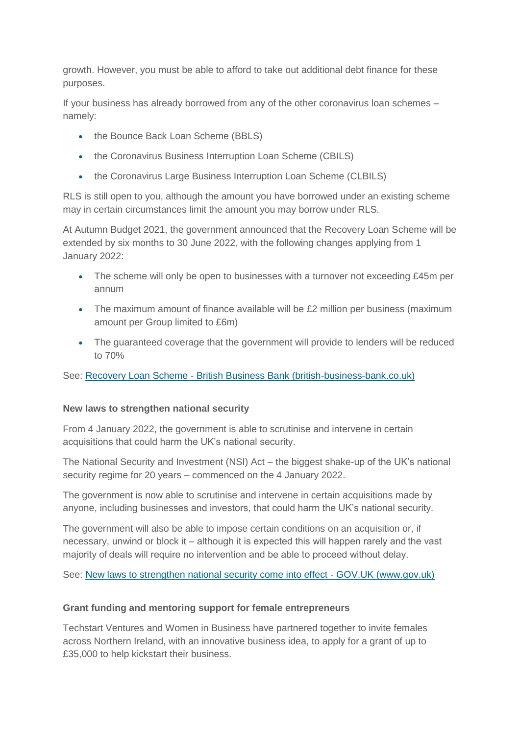growth. However, you must be able to afford to take out additional debt finance for these purposes.

If your business has already borrowed from any of the other coronavirus loan schemes – namely:

- the Bounce Back Loan Scheme (BBLS)
- the Coronavirus Business Interruption Loan Scheme (CBILS)
- the Coronavirus Large Business Interruption Loan Scheme (CLBILS)

RLS is still open to you, although the amount you have borrowed under an existing scheme may in certain circumstances limit the amount you may borrow under RLS.

At Autumn Budget 2021, the government announced that the Recovery Loan Scheme will be extended by six months to 30 June 2022, with the following changes applying from 1 January 2022:

- The scheme will only be open to businesses with a turnover not exceeding £45m per annum
- The maximum amount of finance available will be £2 million per business (maximum amount per Group limited to £6m)
- The quaranteed coverage that the government will provide to lenders will be reduced to 70%

See: Recovery Loan Scheme - [British Business Bank \(british-business-bank.co.uk\)](https://www.british-business-bank.co.uk/ourpartners/recovery-loan-scheme/)

#### **New laws to strengthen national security**

From 4 January 2022, the government is able to scrutinise and intervene in certain acquisitions that could harm the UK's national security.

The National Security and Investment (NSI) Act – the biggest shake-up of the UK's national security regime for 20 years – commenced on the 4 January 2022.

The government is now able to scrutinise and intervene in certain acquisitions made by anyone, including businesses and investors, that could harm the UK's national security.

The government will also be able to impose certain conditions on an acquisition or, if necessary, unwind or block it – although it is expected this will happen rarely and the vast majority of deals will require no intervention and be able to proceed without delay. 

See: [New laws to strengthen national security come into effect -](https://www.gov.uk/government/news/new-laws-to-strengthen-national-security-come-into-effect) GOV.UK (www.gov.uk)

#### **Grant funding and mentoring support for female entrepreneurs**

Techstart Ventures and Women in Business have partnered together to invite females across Northern Ireland, with an innovative business idea, to apply for a grant of up to £35,000 to help kickstart their business.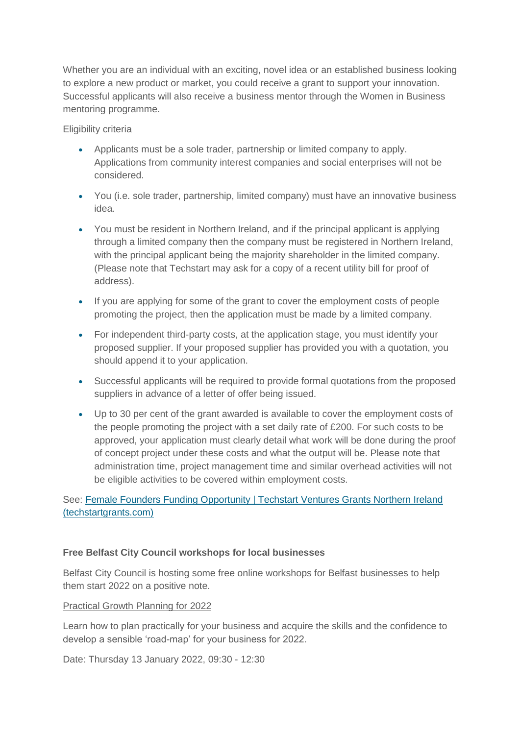Whether you are an individual with an exciting, novel idea or an established business looking to explore a new product or market, you could receive a grant to support your innovation. Successful applicants will also receive a business mentor through the Women in Business mentoring programme.

Eligibility criteria

- Applicants must be a sole trader, partnership or limited company to apply. Applications from community interest companies and social enterprises will not be considered.
- You (i.e. sole trader, partnership, limited company) must have an innovative business idea.
- You must be resident in Northern Ireland, and if the principal applicant is applying through a limited company then the company must be registered in Northern Ireland, with the principal applicant being the majority shareholder in the limited company. (Please note that Techstart may ask for a copy of a recent utility bill for proof of address).
- If you are applying for some of the grant to cover the employment costs of people promoting the project, then the application must be made by a limited company.
- For independent third-party costs, at the application stage, you must identify your proposed supplier. If your proposed supplier has provided you with a quotation, you should append it to your application.
- Successful applicants will be required to provide formal quotations from the proposed suppliers in advance of a letter of offer being issued.
- Up to 30 per cent of the grant awarded is available to cover the employment costs of the people promoting the project with a set daily rate of £200. For such costs to be approved, your application must clearly detail what work will be done during the proof of concept project under these costs and what the output will be. Please note that administration time, project management time and similar overhead activities will not be eligible activities to be covered within employment costs.

See: [Female Founders Funding Opportunity | Techstart Ventures Grants Northern Ireland](https://www.techstartgrants.com/femalefounders)  [\(techstartgrants.com\)](https://www.techstartgrants.com/femalefounders)

# **Free Belfast City Council workshops for local businesses**

Belfast City Council is hosting some free online workshops for Belfast businesses to help them start 2022 on a positive note.

#### Practical Growth Planning for 2022

Learn how to plan practically for your business and acquire the skills and the confidence to develop a sensible 'road-map' for your business for 2022.

Date: Thursday 13 January 2022, 09:30 - 12:30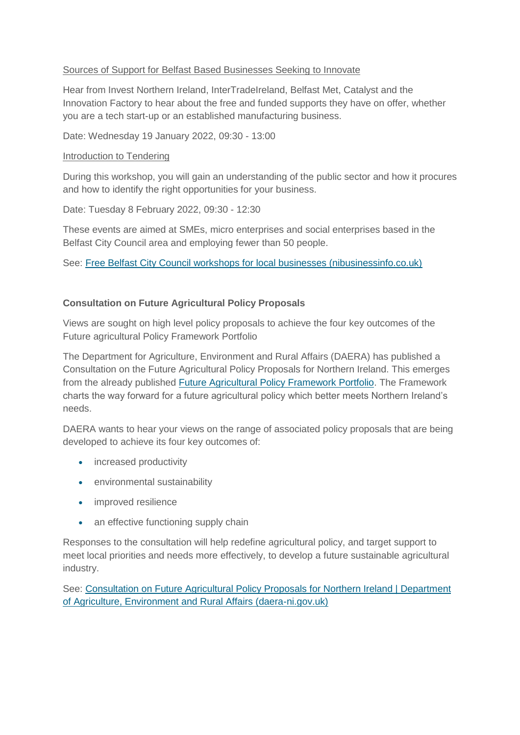## Sources of Support for Belfast Based Businesses Seeking to Innovate

Hear from Invest Northern Ireland, InterTradeIreland, Belfast Met, Catalyst and the Innovation Factory to hear about the free and funded supports they have on offer, whether you are a tech start-up or an established manufacturing business.

Date: Wednesday 19 January 2022, 09:30 - 13:00

#### Introduction to Tendering

During this workshop, you will gain an understanding of the public sector and how it procures and how to identify the right opportunities for your business.

Date: Tuesday 8 February 2022, 09:30 - 12:30

These events are aimed at SMEs, micro enterprises and social enterprises based in the Belfast City Council area and employing fewer than 50 people.

See: [Free Belfast City Council workshops for local businesses \(nibusinessinfo.co.uk\)](https://www.nibusinessinfo.co.uk/content/free-belfast-city-council-workshops-local-businesses)

## **Consultation on Future Agricultural Policy Proposals**

Views are sought on high level policy proposals to achieve the four key outcomes of the Future agricultural Policy Framework Portfolio

The Department for Agriculture, Environment and Rural Affairs (DAERA) has published a Consultation on the Future Agricultural Policy Proposals for Northern Ireland. This emerges from the already published [Future Agricultural Policy Framework Portfolio.](https://www.daera-ni.gov.uk/news/poots-publishes-vision-future-farming-policy-ni) The Framework charts the way forward for a future agricultural policy which better meets Northern Ireland's needs.

DAERA wants to hear your views on the range of associated policy proposals that are being developed to achieve its four key outcomes of:

- increased productivity
- environmental sustainability
- improved resilience
- an effective functioning supply chain

Responses to the consultation will help redefine agricultural policy, and target support to meet local priorities and needs more effectively, to develop a future sustainable agricultural industry.

See: [Consultation on Future Agricultural Policy Proposals for Northern Ireland | Department](https://www.daera-ni.gov.uk/consultations/consultation-future-agricultural-policy-proposals-northern-ireland)  [of Agriculture, Environment and Rural Affairs \(daera-ni.gov.uk\)](https://www.daera-ni.gov.uk/consultations/consultation-future-agricultural-policy-proposals-northern-ireland)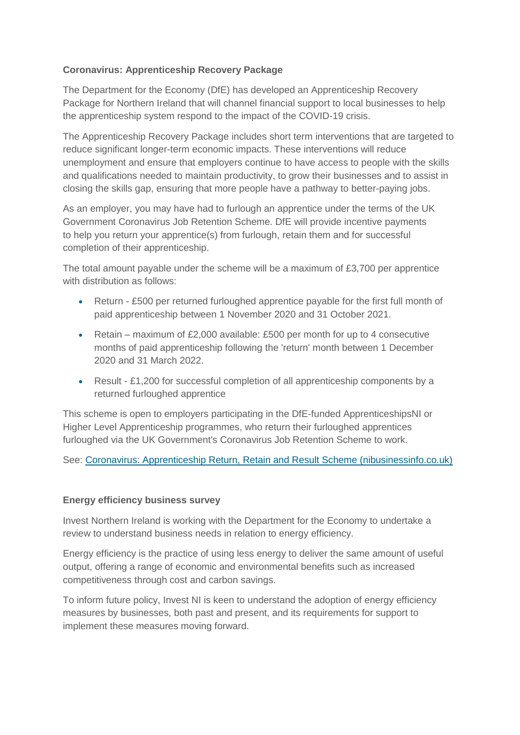# **Coronavirus: Apprenticeship Recovery Package**

The Department for the Economy (DfE) has developed an Apprenticeship Recovery Package for Northern Ireland that will channel financial support to local businesses to help the apprenticeship system respond to the impact of the COVID-19 crisis.

The Apprenticeship Recovery Package includes short term interventions that are targeted to reduce significant longer-term economic impacts. These interventions will reduce unemployment and ensure that employers continue to have access to people with the skills and qualifications needed to maintain productivity, to grow their businesses and to assist in closing the skills gap, ensuring that more people have a pathway to better-paying jobs.

As an employer, you may have had to furlough an apprentice under the terms of the UK Government Coronavirus Job Retention Scheme. DfE will provide incentive payments to help you return your apprentice(s) from furlough, retain them and for successful completion of their apprenticeship.

The total amount payable under the scheme will be a maximum of £3,700 per apprentice with distribution as follows:

- Return £500 per returned furloughed apprentice payable for the first full month of paid apprenticeship between 1 November 2020 and 31 October 2021.
- Retain maximum of £2,000 available: £500 per month for up to 4 consecutive months of paid apprenticeship following the 'return' month between 1 December 2020 and 31 March 2022.
- Result £1,200 for successful completion of all apprenticeship components by a returned furloughed apprentice

This scheme is open to employers participating in the DfE-funded ApprenticeshipsNI or Higher Level Apprenticeship programmes, who return their furloughed apprentices furloughed via the UK Government's Coronavirus Job Retention Scheme to work.

See: [Coronavirus: Apprenticeship Return, Retain and Result Scheme \(nibusinessinfo.co.uk\)](https://www.nibusinessinfo.co.uk/content/coronavirus-apprenticeship-return-retain-and-result-scheme)

# **Energy efficiency business survey**

Invest Northern Ireland is working with the Department for the Economy to undertake a review to understand business needs in relation to energy efficiency.

Energy efficiency is the practice of using less energy to deliver the same amount of useful output, offering a range of economic and environmental benefits such as increased competitiveness through cost and carbon savings.

To inform future policy, Invest NI is keen to understand the adoption of energy efficiency measures by businesses, both past and present, and its requirements for support to implement these measures moving forward.